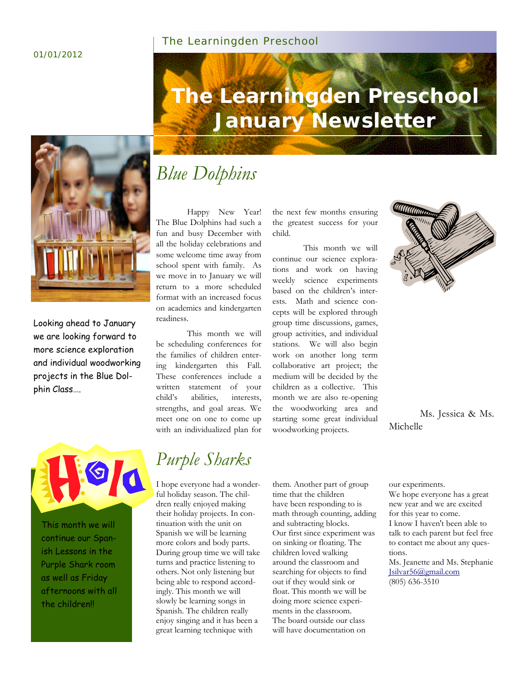#### 01/01/2012

#### The Learningden Preschool



Looking ahead to January we are looking forward to more science exploration and individual woodworking projects in the Blue Dolphin Class….



This month we will continue our Spanish Lessons in the Purple Shark room as well as Friday afternoons with all the children!

# **The Learningden Preschool January Newsletter**

# *Blue Dolphins*

Happy New Year! The Blue Dolphins had such a fun and busy December with all the holiday celebrations and some welcome time away from school spent with family. As we move in to January we will return to a more scheduled format with an increased focus on academics and kindergarten readiness.

This month we will be scheduling conferences for the families of children entering kindergarten this Fall. These conferences include a written statement of your child's abilities, interests, strengths, and goal areas. We meet one on one to come up with an individualized plan for

the next few months ensuring the greatest success for your child.

This month we will continue our science explorations and work on having weekly science experiments based on the children's interests. Math and science concepts will be explored through group time discussions, games, group activities, and individual stations. We will also begin work on another long term collaborative art project; the medium will be decided by the children as a collective. This month we are also re-opening the woodworking area and starting some great individual woodworking projects.



Ms. Jessica & Ms. Michelle

# *Purple Sharks*

I hope everyone had a wonderful holiday season. The children really enjoyed making their holiday projects. In continuation with the unit on Spanish we will be learning more colors and body parts. During group time we will take turns and practice listening to others. Not only listening but being able to respond accordingly. This month we will slowly be learning songs in Spanish. The children really enjoy singing and it has been a great learning technique with

them. Another part of group time that the children have been responding to is math through counting, adding and subtracting blocks. Our first since experiment was on sinking or floating. The children loved walking around the classroom and searching for objects to find out if they would sink or float. This month we will be doing more science experiments in the classroom. The board outside our class will have documentation on

our experiments. We hope everyone has a great new year and we are excited for this year to come. I know I haven't been able to talk to each parent but feel free to contact me about any questions. Ms. Jeanette and Ms. Stephanie Jsilvar56@gmail.com

(805) 636-3510